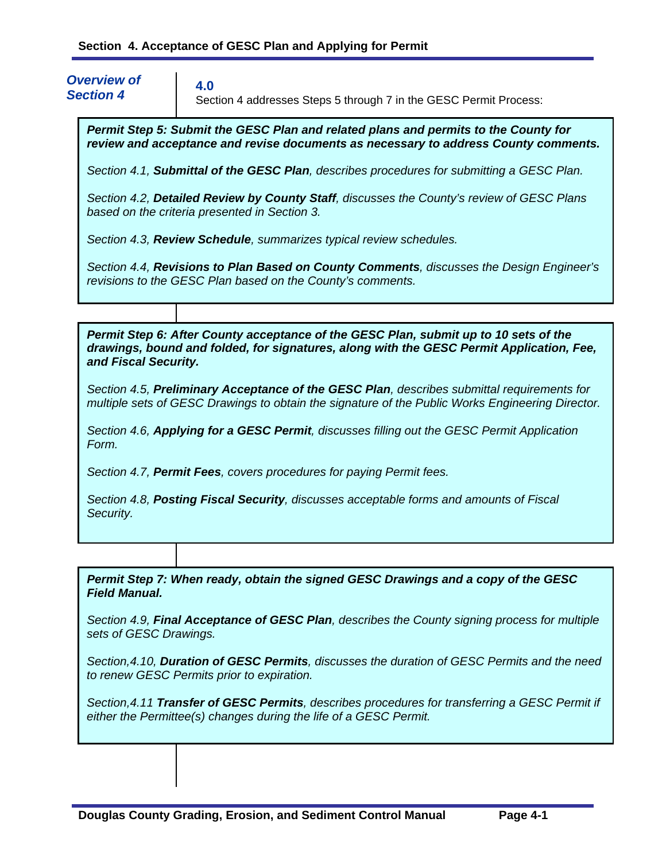*Overview of Section 4* 

**4.0** 

Section 4 addresses Steps 5 through 7 in the GESC Permit Process:

*Permit Step 5: Submit the GESC Plan and related plans and permits to the County for review and acceptance and revise documents as necessary to address County comments.*

*Section 4.1, Submittal of the GESC Plan, describes procedures for submitting a GESC Plan.* 

*Section 4.2, Detailed Review by County Staff, discusses the County's review of GESC Plans based on the criteria presented in Section 3.* 

*Section 4.3, Review Schedule, summarizes typical review schedules.* 

*Section 4.4, Revisions to Plan Based on County Comments, discusses the Design Engineer's revisions to the GESC Plan based on the County's comments.* 

*Permit Step 6: After County acceptance of the GESC Plan, submit up to 10 sets of the drawings, bound and folded, for signatures, along with the GESC Permit Application, Fee, and Fiscal Security.*

*Section 4.5, Preliminary Acceptance of the GESC Plan, describes submittal requirements for multiple sets of GESC Drawings to obtain the signature of the Public Works Engineering Director.* 

*Section 4.6, Applying for a GESC Permit, discusses filling out the GESC Permit Application Form.* 

*Section 4.7, Permit Fees, covers procedures for paying Permit fees.* 

*Section 4.8, Posting Fiscal Security, discusses acceptable forms and amounts of Fiscal Security.* 

*Permit Step 7: When ready, obtain the signed GESC Drawings and a copy of the GESC Field Manual.* 

*Section 4.9, Final Acceptance of GESC Plan, describes the County signing process for multiple sets of GESC Drawings.* 

*Section,4.10, Duration of GESC Permits, discusses the duration of GESC Permits and the need to renew GESC Permits prior to expiration.* 

*Section,4.11 Transfer of GESC Permits, describes procedures for transferring a GESC Permit if either the Permittee(s) changes during the life of a GESC Permit.*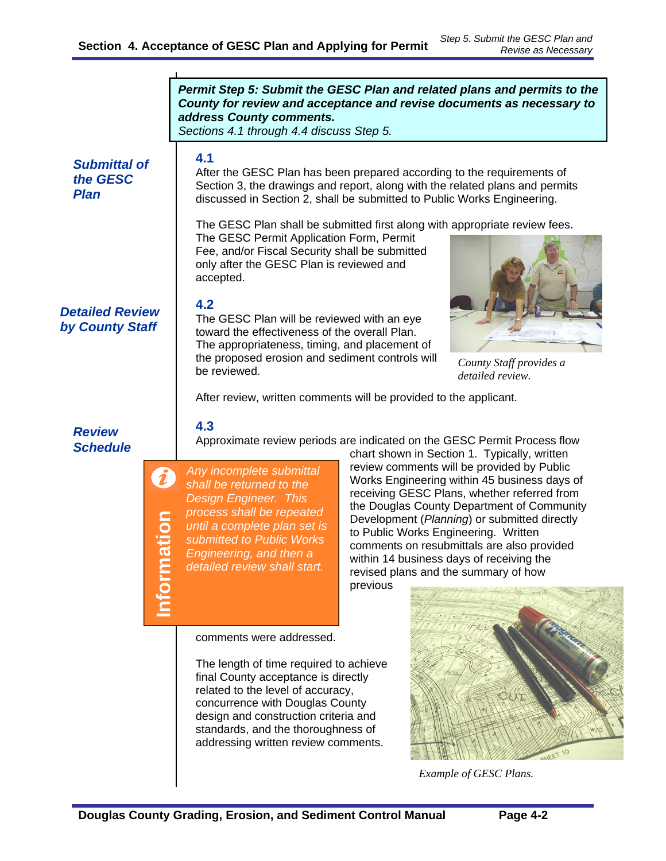|                                                | Permit Step 5: Submit the GESC Plan and related plans and permits to the<br>County for review and acceptance and revise documents as necessary to<br>address County comments.<br>Sections 4.1 through 4.4 discuss Step 5.                                                                                                                                                                                                                                                                                                                                                                                                                                                           |
|------------------------------------------------|-------------------------------------------------------------------------------------------------------------------------------------------------------------------------------------------------------------------------------------------------------------------------------------------------------------------------------------------------------------------------------------------------------------------------------------------------------------------------------------------------------------------------------------------------------------------------------------------------------------------------------------------------------------------------------------|
| <b>Submittal of</b><br>the GESC<br><b>Plan</b> | 4.1<br>After the GESC Plan has been prepared according to the requirements of<br>Section 3, the drawings and report, along with the related plans and permits<br>discussed in Section 2, shall be submitted to Public Works Engineering.                                                                                                                                                                                                                                                                                                                                                                                                                                            |
| <b>Detailed Review</b><br>by County Staff      | The GESC Plan shall be submitted first along with appropriate review fees.<br>The GESC Permit Application Form, Permit<br>Fee, and/or Fiscal Security shall be submitted<br>only after the GESC Plan is reviewed and<br>accepted.<br>4.2<br>The GESC Plan will be reviewed with an eye<br>toward the effectiveness of the overall Plan.<br>The appropriateness, timing, and placement of<br>the proposed erosion and sediment controls will                                                                                                                                                                                                                                         |
|                                                | County Staff provides a<br>be reviewed.<br>detailed review.                                                                                                                                                                                                                                                                                                                                                                                                                                                                                                                                                                                                                         |
|                                                | After review, written comments will be provided to the applicant.                                                                                                                                                                                                                                                                                                                                                                                                                                                                                                                                                                                                                   |
| <b>Review</b><br><b>Schedule</b>               | 4.3<br>Approximate review periods are indicated on the GESC Permit Process flow<br>chart shown in Section 1. Typically, written                                                                                                                                                                                                                                                                                                                                                                                                                                                                                                                                                     |
|                                                | review comments will be provided by Public<br>Any incomplete submittal<br>Works Engineering within 45 business days of<br>shall be returned to the<br>receiving GESC Plans, whether referred from<br><b>Design Engineer. This</b><br>the Douglas County Department of Community<br>process shall be repeated<br>ation<br>Development (Planning) or submitted directly<br>until a complete plan set is<br>to Public Works Engineering. Written<br>submitted to Public Works<br>comments on resubmittals are also provided<br>Engineering, and then a<br>within 14 business days of receiving the<br>detailed review shall start.<br>revised plans and the summary of how<br>previous |
|                                                | comments were addressed.                                                                                                                                                                                                                                                                                                                                                                                                                                                                                                                                                                                                                                                            |
|                                                | The length of time required to achieve<br>final County acceptance is directly<br>related to the level of accuracy,<br>concurrence with Douglas County<br>design and construction criteria and<br>standards, and the thoroughness of<br>addressing written review comments.                                                                                                                                                                                                                                                                                                                                                                                                          |
|                                                | Example of GESC Plans.                                                                                                                                                                                                                                                                                                                                                                                                                                                                                                                                                                                                                                                              |

*Example of GESC Plans.*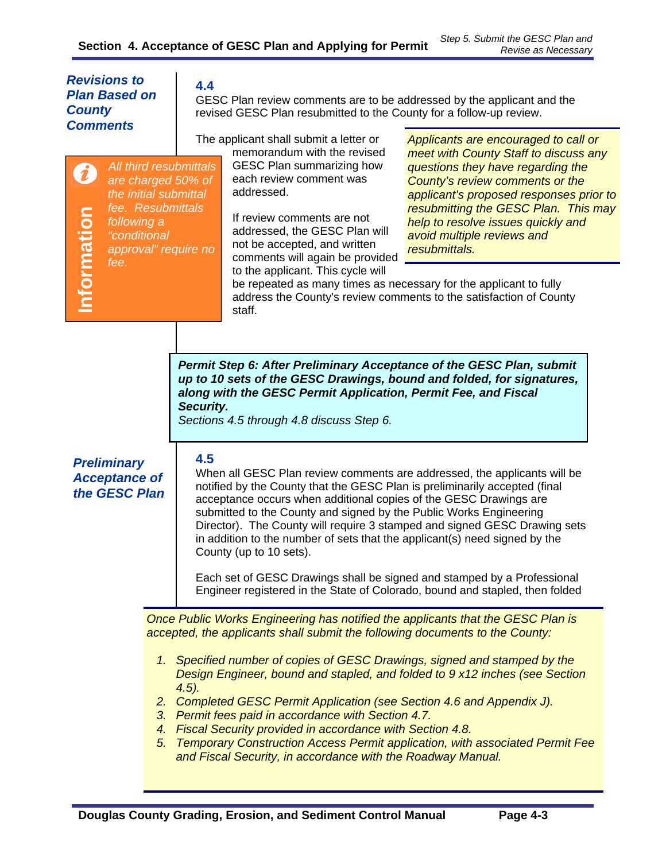| <b>Revisions to</b><br><b>Plan Based on</b><br><b>County</b><br><b>Comments</b>                                                                                                                                                                                                                                                                                                                                                                                                                                                                                                                                                                                                                                                                                                                                                                                                                                                                                                                      |  | 4.4<br>GESC Plan review comments are to be addressed by the applicant and the<br>revised GESC Plan resubmitted to the County for a follow-up review. |                                                                                                                                                                                                                                                                                                                           |                                                                                                                                                                                                                                                                                                                               |  |
|------------------------------------------------------------------------------------------------------------------------------------------------------------------------------------------------------------------------------------------------------------------------------------------------------------------------------------------------------------------------------------------------------------------------------------------------------------------------------------------------------------------------------------------------------------------------------------------------------------------------------------------------------------------------------------------------------------------------------------------------------------------------------------------------------------------------------------------------------------------------------------------------------------------------------------------------------------------------------------------------------|--|------------------------------------------------------------------------------------------------------------------------------------------------------|---------------------------------------------------------------------------------------------------------------------------------------------------------------------------------------------------------------------------------------------------------------------------------------------------------------------------|-------------------------------------------------------------------------------------------------------------------------------------------------------------------------------------------------------------------------------------------------------------------------------------------------------------------------------|--|
| All third resubmittals<br>are charged 50% of<br>the initial submittal<br>fee. Resubmittals<br>Information<br>following a<br>"conditional<br>approval" require no<br>fee.                                                                                                                                                                                                                                                                                                                                                                                                                                                                                                                                                                                                                                                                                                                                                                                                                             |  |                                                                                                                                                      | The applicant shall submit a letter or<br>memorandum with the revised<br><b>GESC Plan summarizing how</b><br>each review comment was<br>addressed.<br>If review comments are not<br>addressed, the GESC Plan will<br>not be accepted, and written<br>comments will again be provided<br>to the applicant. This cycle will | Applicants are encouraged to call or<br>meet with County Staff to discuss any<br>questions they have regarding the<br>County's review comments or the<br>applicant's proposed responses prior to<br>resubmitting the GESC Plan. This may<br>help to resolve issues quickly and<br>avoid multiple reviews and<br>resubmittals. |  |
|                                                                                                                                                                                                                                                                                                                                                                                                                                                                                                                                                                                                                                                                                                                                                                                                                                                                                                                                                                                                      |  |                                                                                                                                                      | be repeated as many times as necessary for the applicant to fully<br>address the County's review comments to the satisfaction of County<br>staff.                                                                                                                                                                         |                                                                                                                                                                                                                                                                                                                               |  |
| Permit Step 6: After Preliminary Acceptance of the GESC Plan, submit<br>up to 10 sets of the GESC Drawings, bound and folded, for signatures,<br>along with the GESC Permit Application, Permit Fee, and Fiscal<br>Security.<br>Sections 4.5 through 4.8 discuss Step 6.<br>4.5<br><b>Preliminary</b><br>When all GESC Plan review comments are addressed, the applicants will be<br><b>Acceptance of</b><br>notified by the County that the GESC Plan is preliminarily accepted (final<br>the GESC Plan<br>acceptance occurs when additional copies of the GESC Drawings are<br>submitted to the County and signed by the Public Works Engineering<br>Director). The County will require 3 stamped and signed GESC Drawing sets<br>in addition to the number of sets that the applicant(s) need signed by the<br>County (up to 10 sets).<br>Each set of GESC Drawings shall be signed and stamped by a Professional<br>Engineer registered in the State of Colorado, bound and stapled, then folded |  |                                                                                                                                                      |                                                                                                                                                                                                                                                                                                                           |                                                                                                                                                                                                                                                                                                                               |  |
|                                                                                                                                                                                                                                                                                                                                                                                                                                                                                                                                                                                                                                                                                                                                                                                                                                                                                                                                                                                                      |  |                                                                                                                                                      | Once Public Works Engineering has notified the applicants that the GESC Plan is<br>accepted, the applicants shall submit the following documents to the County:                                                                                                                                                           |                                                                                                                                                                                                                                                                                                                               |  |
|                                                                                                                                                                                                                                                                                                                                                                                                                                                                                                                                                                                                                                                                                                                                                                                                                                                                                                                                                                                                      |  | $(4.5)$ .                                                                                                                                            | 1. Specified number of copies of GESC Drawings, signed and stamped by the                                                                                                                                                                                                                                                 | Design Engineer, bound and stapled, and folded to 9 x12 inches (see Section                                                                                                                                                                                                                                                   |  |
|                                                                                                                                                                                                                                                                                                                                                                                                                                                                                                                                                                                                                                                                                                                                                                                                                                                                                                                                                                                                      |  |                                                                                                                                                      | 2. Completed GESC Permit Application (see Section 4.6 and Appendix J).<br>3. Permit fees paid in accordance with Section 4.7.<br>4. Fiscal Security provided in accordance with Section 4.8.                                                                                                                              |                                                                                                                                                                                                                                                                                                                               |  |
|                                                                                                                                                                                                                                                                                                                                                                                                                                                                                                                                                                                                                                                                                                                                                                                                                                                                                                                                                                                                      |  |                                                                                                                                                      |                                                                                                                                                                                                                                                                                                                           | 5. Temporary Construction Access Permit application, with associated Permit Fee                                                                                                                                                                                                                                               |  |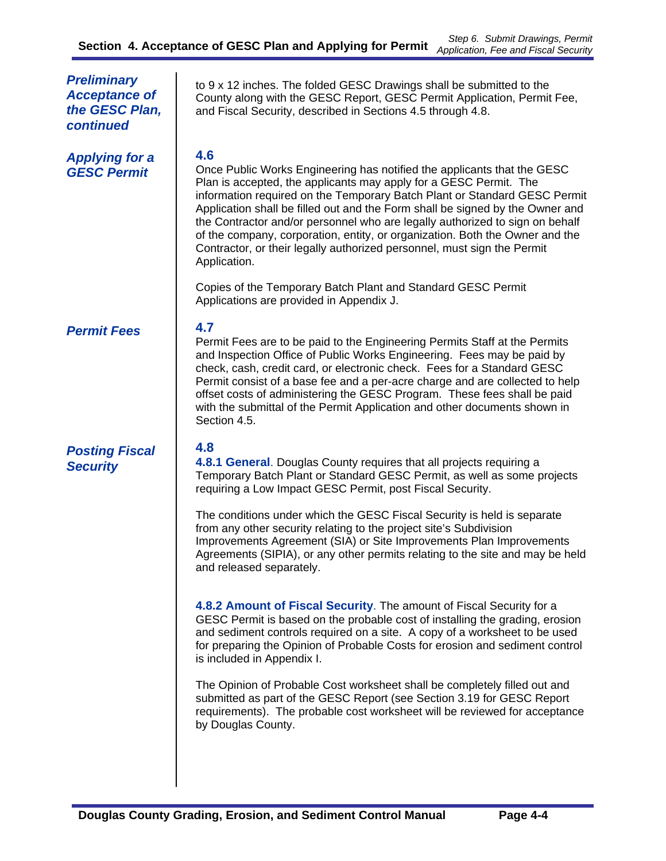| <b>Preliminary</b><br><b>Acceptance of</b><br>the GESC Plan,<br>continued | to 9 x 12 inches. The folded GESC Drawings shall be submitted to the<br>County along with the GESC Report, GESC Permit Application, Permit Fee,<br>and Fiscal Security, described in Sections 4.5 through 4.8.                                                                                                                                                                                                                                                                                                                                                               |
|---------------------------------------------------------------------------|------------------------------------------------------------------------------------------------------------------------------------------------------------------------------------------------------------------------------------------------------------------------------------------------------------------------------------------------------------------------------------------------------------------------------------------------------------------------------------------------------------------------------------------------------------------------------|
| <b>Applying for a</b><br><b>GESC Permit</b>                               | 4.6<br>Once Public Works Engineering has notified the applicants that the GESC<br>Plan is accepted, the applicants may apply for a GESC Permit. The<br>information required on the Temporary Batch Plant or Standard GESC Permit<br>Application shall be filled out and the Form shall be signed by the Owner and<br>the Contractor and/or personnel who are legally authorized to sign on behalf<br>of the company, corporation, entity, or organization. Both the Owner and the<br>Contractor, or their legally authorized personnel, must sign the Permit<br>Application. |
|                                                                           | Copies of the Temporary Batch Plant and Standard GESC Permit<br>Applications are provided in Appendix J.                                                                                                                                                                                                                                                                                                                                                                                                                                                                     |
| <b>Permit Fees</b>                                                        | 4.7<br>Permit Fees are to be paid to the Engineering Permits Staff at the Permits<br>and Inspection Office of Public Works Engineering. Fees may be paid by<br>check, cash, credit card, or electronic check. Fees for a Standard GESC<br>Permit consist of a base fee and a per-acre charge and are collected to help<br>offset costs of administering the GESC Program. These fees shall be paid<br>with the submittal of the Permit Application and other documents shown in<br>Section 4.5.                                                                              |
| <b>Posting Fiscal</b><br><b>Security</b>                                  | 4.8<br>4.8.1 General. Douglas County requires that all projects requiring a<br>Temporary Batch Plant or Standard GESC Permit, as well as some projects<br>requiring a Low Impact GESC Permit, post Fiscal Security.                                                                                                                                                                                                                                                                                                                                                          |
|                                                                           | The conditions under which the GESC Fiscal Security is held is separate<br>from any other security relating to the project site's Subdivision<br>Improvements Agreement (SIA) or Site Improvements Plan Improvements<br>Agreements (SIPIA), or any other permits relating to the site and may be held<br>and released separately.                                                                                                                                                                                                                                            |
|                                                                           | 4.8.2 Amount of Fiscal Security. The amount of Fiscal Security for a<br>GESC Permit is based on the probable cost of installing the grading, erosion<br>and sediment controls required on a site. A copy of a worksheet to be used<br>for preparing the Opinion of Probable Costs for erosion and sediment control<br>is included in Appendix I.                                                                                                                                                                                                                             |
|                                                                           | The Opinion of Probable Cost worksheet shall be completely filled out and<br>submitted as part of the GESC Report (see Section 3.19 for GESC Report<br>requirements). The probable cost worksheet will be reviewed for acceptance<br>by Douglas County.                                                                                                                                                                                                                                                                                                                      |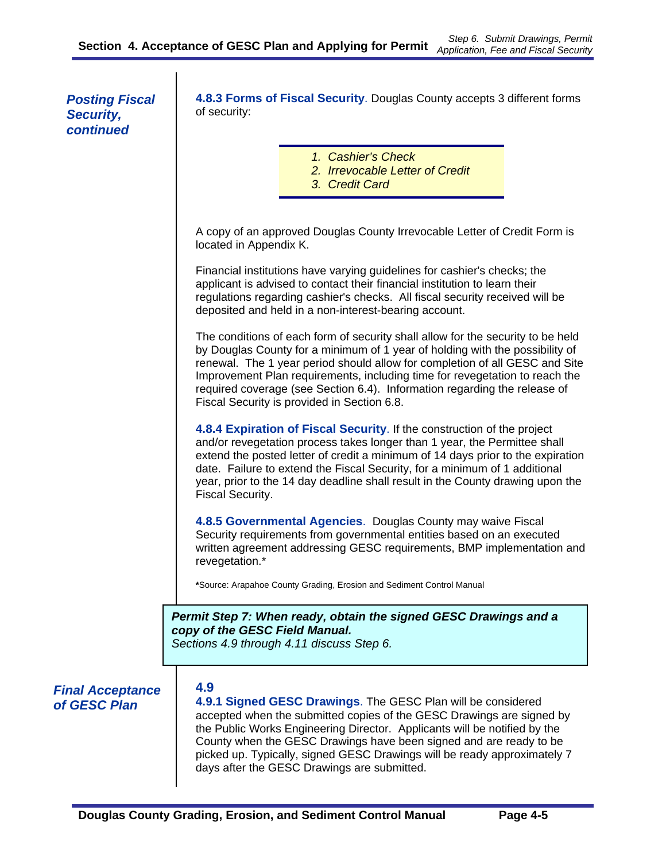*Posting Fiscal Security, continued* 

**4.8.3 Forms of Fiscal Security**. Douglas County accepts 3 different forms of security:

- *1. Cashier's Check 2. Irrevocable Letter of Credit*
- *3. Credit Card*

A copy of an approved Douglas County Irrevocable Letter of Credit Form is located in Appendix K.

Financial institutions have varying guidelines for cashier's checks; the applicant is advised to contact their financial institution to learn their regulations regarding cashier's checks. All fiscal security received will be deposited and held in a non-interest-bearing account.

The conditions of each form of security shall allow for the security to be held by Douglas County for a minimum of 1 year of holding with the possibility of renewal. The 1 year period should allow for completion of all GESC and Site Improvement Plan requirements, including time for revegetation to reach the required coverage (see Section 6.4). Information regarding the release of Fiscal Security is provided in Section 6.8.

**4.8.4 Expiration of Fiscal Security**. If the construction of the project and/or revegetation process takes longer than 1 year, the Permittee shall extend the posted letter of credit a minimum of 14 days prior to the expiration date. Failure to extend the Fiscal Security, for a minimum of 1 additional year, prior to the 14 day deadline shall result in the County drawing upon the Fiscal Security.

**4.8.5 Governmental Agencies**. Douglas County may waive Fiscal Security requirements from governmental entities based on an executed written agreement addressing GESC requirements, BMP implementation and revegetation.\*

**\***Source: Arapahoe County Grading, Erosion and Sediment Control Manual

*Permit Step 7: When ready, obtain the signed GESC Drawings and a copy of the GESC Field Manual. Sections 4.9 through 4.11 discuss Step 6.* 

*Final Acceptance* **4.9** 

*of GESC Plan* **4.9.1 Signed GESC Drawings**. The GESC Plan will be considered accepted when the submitted copies of the GESC Drawings are signed by the Public Works Engineering Director. Applicants will be notified by the County when the GESC Drawings have been signed and are ready to be picked up. Typically, signed GESC Drawings will be ready approximately 7 days after the GESC Drawings are submitted.